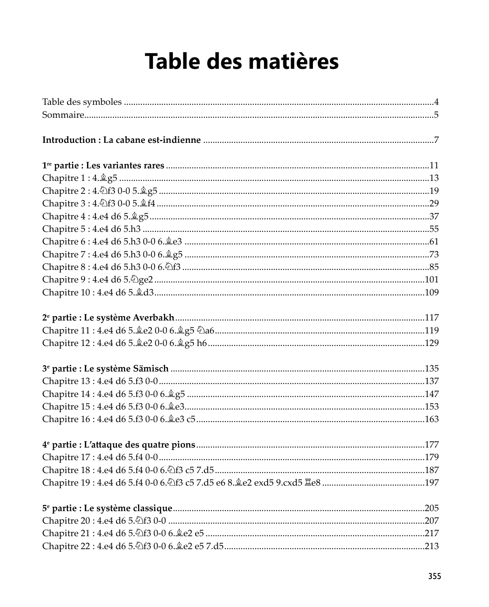## Table des matières